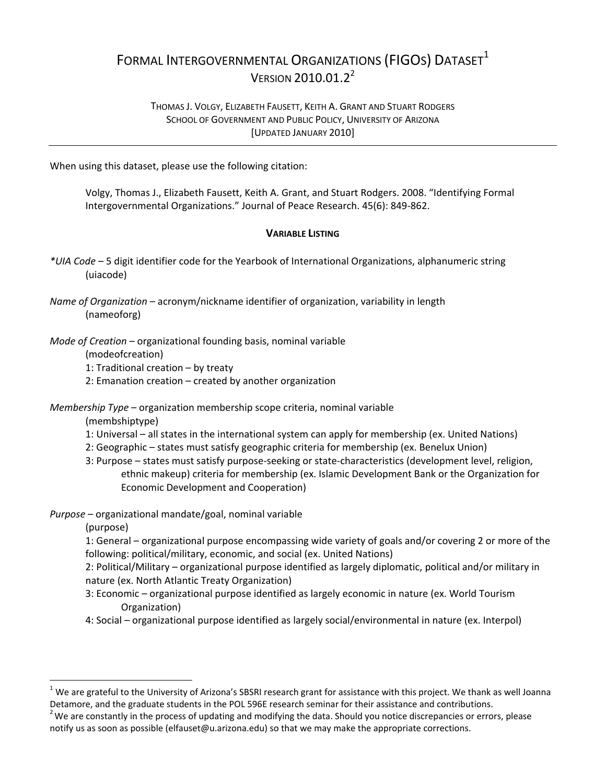## FORMAL INTERGOVERNMENTAL ORGANIZATIONS (FIGOS) DATASET<sup>1</sup> VERSION 2010.01.2<sup>2</sup>

## THOMAS J. VOLGY, ELIZABETH FAUSETT, KEITH A. GRANT AND STUART RODGERS SCHOOL OF GOVERNMENT AND PUBLIC POLICY, UNIVERSITY OF ARIZONA [UPDATED JANUARY 2010]

When using this dataset, please use the following citation:

Volgy, Thomas J., Elizabeth Fausett, Keith A. Grant, and Stuart Rodgers. 2008. "Identifying Formal Intergovernmental Organizations." Journal of Peace Research. 45(6): 849‐862.

## **VARIABLE LISTING**

- *\*UIA Code* 5 digit identifier code for the Yearbook of International Organizations, alphanumeric string (uiacode)
- *Name of Organization* acronym/nickname identifier of organization, variability in length (nameoforg)
- *Mode of Creation* organizational founding basis, nominal variable
	- (modeofcreation)
	- 1: Traditional creation by treaty
	- 2: Emanation creation created by another organization

*Membership Type* – organization membership scope criteria, nominal variable

(membshiptype)

- 1: Universal all states in the international system can apply for membership (ex. United Nations)
- 2: Geographic states must satisfy geographic criteria for membership (ex. Benelux Union)
- 3: Purpose states must satisfy purpose‐seeking or state‐characteristics (development level, religion, ethnic makeup) criteria for membership (ex. Islamic Development Bank or the Organization for Economic Development and Cooperation)
- *Purpose* organizational mandate/goal, nominal variable

(purpose)

 $\overline{a}$ 

1: General – organizational purpose encompassing wide variety of goals and/or covering 2 or more of the following: political/military, economic, and social (ex. United Nations)

2: Political/Military – organizational purpose identified as largely diplomatic, political and/or military in nature (ex. North Atlantic Treaty Organization)

- 3: Economic organizational purpose identified as largely economic in nature (ex. World Tourism Organization)
- 4: Social organizational purpose identified as largely social/environmental in nature (ex. Interpol)

 $1$  We are grateful to the University of Arizona's SBSRI research grant for assistance with this project. We thank as well Joanna Detamore, and the graduate students in the POL 596E research seminar for their assistance and contributions. <sup>2</sup>

 $2$  We are constantly in the process of updating and modifying the data. Should you notice discrepancies or errors, please notify us as soon as possible (elfauset@u.arizona.edu) so that we may make the appropriate corrections.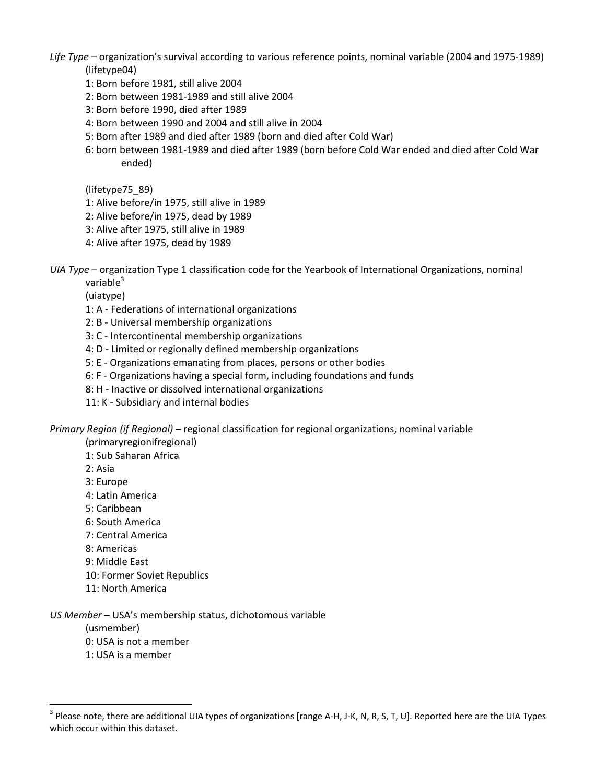*Life Type* – organization's survival according to various reference points, nominal variable (2004 and 1975‐1989) (lifetype04)

- 1: Born before 1981, still alive 2004
- 2: Born between 1981‐1989 and still alive 2004
- 3: Born before 1990, died after 1989
- 4: Born between 1990 and 2004 and still alive in 2004
- 5: Born after 1989 and died after 1989 (born and died after Cold War)
- 6: born between 1981‐1989 and died after 1989 (born before Cold War ended and died after Cold War ended)

(lifetype75\_89)

- 1: Alive before/in 1975, still alive in 1989
- 2: Alive before/in 1975, dead by 1989
- 3: Alive after 1975, still alive in 1989
- 4: Alive after 1975, dead by 1989

*UIA Type* – organization Type 1 classification code for the Yearbook of International Organizations, nominal variable $3$ 

(uiatype)

- 1: A ‐ Federations of international organizations
- 2: B ‐ Universal membership organizations
- 3: C ‐ Intercontinental membership organizations
- 4: D Limited or regionally defined membership organizations
- 5: E ‐ Organizations emanating from places, persons or other bodies
- 6: F ‐ Organizations having a special form, including foundations and funds
- 8: H ‐ Inactive or dissolved international organizations
- 11: K ‐ Subsidiary and internal bodies

*Primary Region (if Regional)* – regional classification for regional organizations, nominal variable

(primaryregionifregional)

1: Sub Saharan Africa

2: Asia

3: Europe

- 4: Latin America
- 5: Caribbean
- 6: South America
- 7: Central America
- 8: Americas
- 9: Middle East
- 10: Former Soviet Republics
- 11: North America

## *US Member* – USA's membership status, dichotomous variable

(usmember)

 $\overline{a}$ 

- 0: USA is not a member
- 1: USA is a member

<sup>&</sup>lt;sup>3</sup> Please note, there are additional UIA types of organizations [range A-H, J-K, N, R, S, T, U]. Reported here are the UIA Types which occur within this dataset.